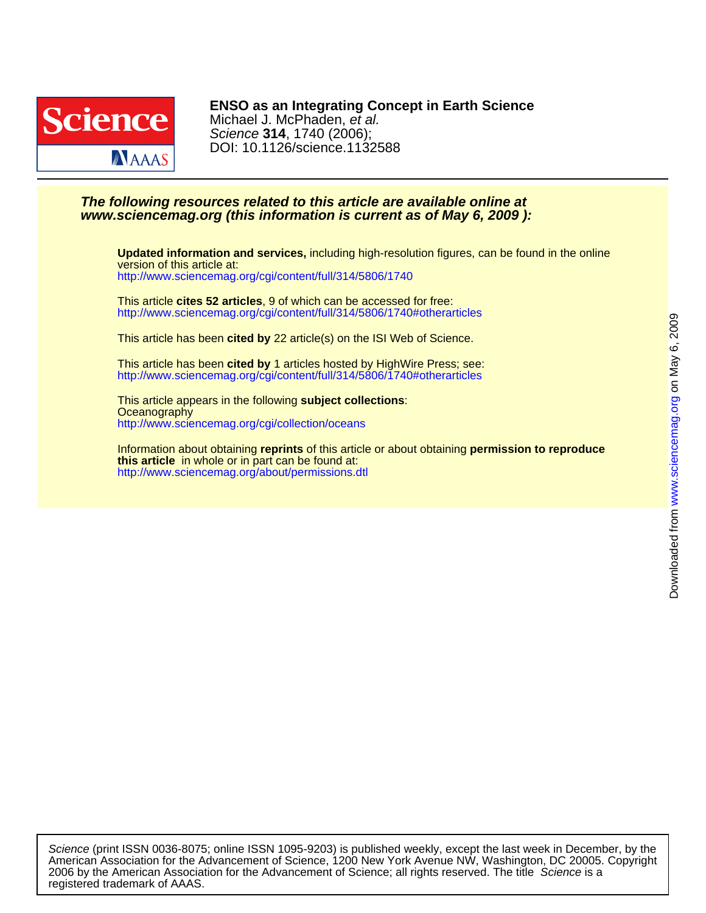



# **ENSO as an Integrating Concept in Earth Science**

DOI: 10.1126/science.1132588 Science **314**, 1740 (2006); Michael J. McPhaden, et al.

## **www.sciencemag.org (this information is current as of May 6, 2009 ): The following resources related to this article are available online at**

<http://www.sciencemag.org/cgi/content/full/314/5806/1740> version of this article at: **Updated information and services,** including high-resolution figures, can be found in the online

<http://www.sciencemag.org/cgi/content/full/314/5806/1740#otherarticles> This article **cites 52 articles**, 9 of which can be accessed for free:

This article has been **cited by** 22 article(s) on the ISI Web of Science.

<http://www.sciencemag.org/cgi/content/full/314/5806/1740#otherarticles> This article has been **cited by** 1 articles hosted by HighWire Press; see:

<http://www.sciencemag.org/cgi/collection/oceans> **Oceanography** This article appears in the following **subject collections**:

<http://www.sciencemag.org/about/permissions.dtl> **this article** in whole or in part can be found at: Information about obtaining **reprints** of this article or about obtaining **permission to reproduce**

registered trademark of AAAS. 2006 by the American Association for the Advancement of Science; all rights reserved. The title Science is a American Association for the Advancement of Science, 1200 New York Avenue NW, Washington, DC 20005. Copyright Science (print ISSN 0036-8075; online ISSN 1095-9203) is published weekly, except the last week in December, by the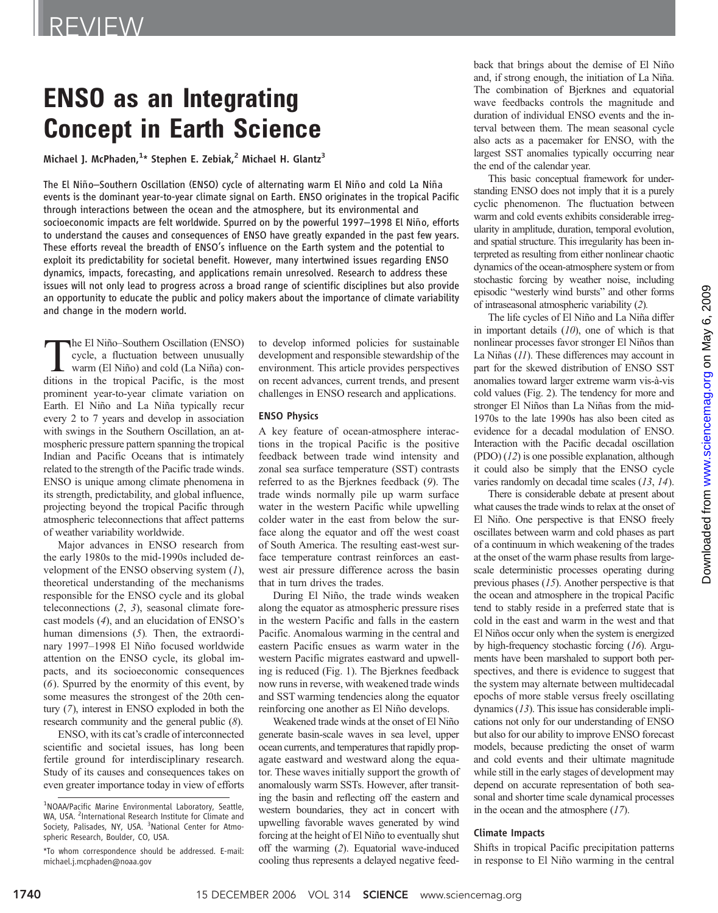# **ENSO as an Integrating<br>Concept in Earth Science**

Michael J. McPhaden,<sup>1</sup>\* Stephen E. Zebiak,<sup>2</sup> Michael H. Glantz<sup>3</sup>

The El Niño–Southern Oscillation (ENSO) cycle of alternating warm El Niño and cold La Niña events is the dominant year-to-year climate signal on Earth. ENSO originates in the tropical Pacific through interactions between the ocean and the atmosphere, but its environmental and socioeconomic impacts are felt worldwide. Spurred on by the powerful 1997–1998 El Niño, efforts to understand the causes and consequences of ENSO have greatly expanded in the past few years. These efforts reveal the breadth of ENSO's influence on the Earth system and the potential to exploit its predictability for societal benefit. However, many intertwined issues regarding ENSO dynamics, impacts, forecasting, and applications remain unresolved. Research to address these issues will not only lead to progress across a broad range of scientific disciplines but also provide an opportunity to educate the public and policy makers about the importance of climate variability and change in the modern world.

The El Niño–Southern Oscillation (ENSO)<br>cycle, a fluctuation between unusually<br>warm (El Niño) and cold (La Niña) con-<br>ditions in the tronical Pacific is the most cycle, a fluctuation between unusually warm (El Niño) and cold (La Niña) conditions in the tropical Pacific, is the most prominent year-to-year climate variation on Earth. El Niño and La Niña typically recur every 2 to 7 years and develop in association with swings in the Southern Oscillation, an atmospheric pressure pattern spanning the tropical Indian and Pacific Oceans that is intimately related to the strength of the Pacific trade winds. ENSO is unique among climate phenomena in its strength, predictability, and global influence, projecting beyond the tropical Pacific through atmospheric teleconnections that affect patterns of weather variability worldwide.

Major advances in ENSO research from the early 1980s to the mid-1990s included development of the ENSO observing system (1), theoretical understanding of the mechanisms responsible for the ENSO cycle and its global teleconnections  $(2, 3)$ , seasonal climate forecast models (4), and an elucidation of ENSO's human dimensions (5). Then, the extraordinary 1997–1998 El Niño focused worldwide attention on the ENSO cycle, its global impacts, and its socioeconomic consequences (6). Spurred by the enormity of this event, by some measures the strongest of the 20th century (7), interest in ENSO exploded in both the research community and the general public (8).

ENSO, with its cat's cradle of interconnected scientific and societal issues, has long been fertile ground for interdisciplinary research. Study of its causes and consequences takes on even greater importance today in view of efforts

to develop informed policies for sustainable development and responsible stewardship of the environment. This article provides perspectives on recent advances, current trends, and present challenges in ENSO research and applications.

#### ENSO Physics

A key feature of ocean-atmosphere interactions in the tropical Pacific is the positive feedback between trade wind intensity and zonal sea surface temperature (SST) contrasts referred to as the Bjerknes feedback (9). The trade winds normally pile up warm surface water in the western Pacific while upwelling colder water in the east from below the surface along the equator and off the west coast of South America. The resulting east-west surface temperature contrast reinforces an eastwest air pressure difference across the basin that in turn drives the trades.

During El Niño, the trade winds weaken along the equator as atmospheric pressure rises in the western Pacific and falls in the eastern Pacific. Anomalous warming in the central and eastern Pacific ensues as warm water in the western Pacific migrates eastward and upwelling is reduced (Fig. 1). The Bjerknes feedback now runs in reverse, with weakened trade winds and SST warming tendencies along the equator reinforcing one another as El Niño develops.

Weakened trade winds at the onset of El Niño generate basin-scale waves in sea level, upper ocean currents, and temperatures that rapidly propagate eastward and westward along the equator. These waves initially support the growth of anomalously warm SSTs. However, after transiting the basin and reflecting off the eastern and western boundaries, they act in concert with upwelling favorable waves generated by wind forcing at the height of El Niño to eventually shut off the warming (2). Equatorial wave-induced cooling thus represents a delayed negative feedback that brings about the demise of El Niño and, if strong enough, the initiation of La Niña. The combination of Bjerknes and equatorial wave feedbacks controls the magnitude and duration of individual ENSO events and the interval between them. The mean seasonal cycle also acts as a pacemaker for ENSO, with the largest SST anomalies typically occurring near the end of the calendar year.

This basic conceptual framework for understanding ENSO does not imply that it is a purely cyclic phenomenon. The fluctuation between warm and cold events exhibits considerable irregularity in amplitude, duration, temporal evolution, and spatial structure. This irregularity has been interpreted as resulting from either nonlinear chaotic dynamics of the ocean-atmosphere system or from stochastic forcing by weather noise, including episodic "westerly wind bursts" and other forms of intraseasonal atmospheric variability (2).

The life cycles of El Niño and La Niña differ in important details  $(10)$ , one of which is that nonlinear processes favor stronger El Niños than La Niñas (11). These differences may account in part for the skewed distribution of ENSO SST anomalies toward larger extreme warm vis-à-vis cold values (Fig. 2). The tendency for more and stronger El Niños than La Niñas from the mid-1970s to the late 1990s has also been cited as evidence for a decadal modulation of ENSO. Interaction with the Pacific decadal oscillation (PDO) (12) is one possible explanation, although it could also be simply that the ENSO cycle varies randomly on decadal time scales (13, 14).

There is considerable debate at present about what causes the trade winds to relax at the onset of El Niño. One perspective is that ENSO freely oscillates between warm and cold phases as part of a continuum in which weakening of the trades at the onset of the warm phase results from largescale deterministic processes operating during previous phases (15). Another perspective is that the ocean and atmosphere in the tropical Pacific tend to stably reside in a preferred state that is cold in the east and warm in the west and that El Niños occur only when the system is energized by high-frequency stochastic forcing (16). Arguments have been marshaled to support both perspectives, and there is evidence to suggest that the system may alternate between multidecadal epochs of more stable versus freely oscillating dynamics (13). This issue has considerable implications not only for our understanding of ENSO but also for our ability to improve ENSO forecast models, because predicting the onset of warm and cold events and their ultimate magnitude while still in the early stages of development may depend on accurate representation of both seasonal and shorter time scale dynamical processes in the ocean and the atmosphere  $(17)$ .

#### Climate Impacts

Shifts in tropical Pacific precipitation patterns in response to El Niño warming in the central

<sup>&</sup>lt;sup>1</sup>NOAA/Pacific Marine Environmental Laboratory, Seattle, WA, USA. <sup>2</sup>International Research Institute for Climate and Society, Palisades, NY, USA. <sup>3</sup>National Center for Atmospheric Research, Boulder, CO, USA.

<sup>\*</sup>To whom correspondence should be addressed. E-mail: michael.j.mcphaden@noaa.gov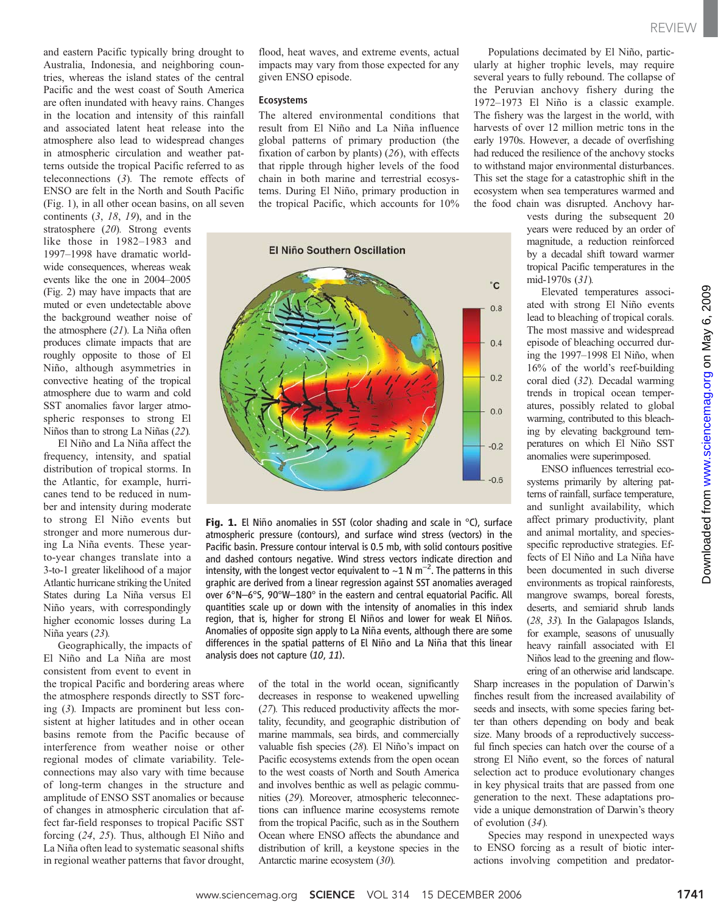and eastern Pacific typically bring drought to Australia, Indonesia, and neighboring countries, whereas the island states of the central Pacific and the west coast of South America are often inundated with heavy rains. Changes in the location and intensity of this rainfall and associated latent heat release into the atmosphere also lead to widespread changes in atmospheric circulation and weather patterns outside the tropical Pacific referred to as teleconnections (3). The remote effects of ENSO are felt in the North and South Pacific (Fig. 1), in all other ocean basins, on all seven

continents  $(3, 18, 19)$ , and in the stratosphere (20). Strong events like those in 1982–1983 and 1997–1998 have dramatic worldwide consequences, whereas weak events like the one in 2004–2005 (Fig. 2) may have impacts that are muted or even undetectable above the background weather noise of the atmosphere (21). La Niña often produces climate impacts that are roughly opposite to those of El Niño, although asymmetries in convective heating of the tropical atmosphere due to warm and cold SST anomalies favor larger atmospheric responses to strong El Niños than to strong La Niñas (22).

El Niño and La Niña affect the frequency, intensity, and spatial distribution of tropical storms. In the Atlantic, for example, hurricanes tend to be reduced in number and intensity during moderate to strong El Niño events but stronger and more numerous during La Niña events. These yearto-year changes translate into a 3-to-1 greater likelihood of a major Atlantic hurricane striking the United States during La Niña versus El Niño years, with correspondingly higher economic losses during La Niña years (23).

Geographically, the impacts of El Niño and La Niña are most consistent from event to event in

the tropical Pacific and bordering areas where the atmosphere responds directly to SST forcing (3). Impacts are prominent but less consistent at higher latitudes and in other ocean basins remote from the Pacific because of interference from weather noise or other regional modes of climate variability. Teleconnections may also vary with time because of long-term changes in the structure and amplitude of ENSO SST anomalies or because of changes in atmospheric circulation that affect far-field responses to tropical Pacific SST forcing (24, 25). Thus, although El Niño and La Niña often lead to systematic seasonal shifts in regional weather patterns that favor drought,

flood, heat waves, and extreme events, actual impacts may vary from those expected for any given ENSO episode.

#### Ecosystems

The altered environmental conditions that result from El Niño and La Niña influence global patterns of primary production (the fixation of carbon by plants) (26), with effects that ripple through higher levels of the food chain in both marine and terrestrial ecosystems. During El Niño, primary production in the tropical Pacific, which accounts for 10%



Fig. 1. El Niño anomalies in SST (color shading and scale in °C), surface atmospheric pressure (contours), and surface wind stress (vectors) in the Pacific basin. Pressure contour interval is 0.5 mb, with solid contours positive and dashed contours negative. Wind stress vectors indicate direction and intensity, with the longest vector equivalent to ~1 N m*−*<sup>2</sup> . The patterns in this graphic are derived from a linear regression against SST anomalies averaged over 6°N–6°S, 90°W–180° in the eastern and central equatorial Pacific. All quantities scale up or down with the intensity of anomalies in this index region, that is, higher for strong El Niños and lower for weak El Niños. Anomalies of opposite sign apply to La Niña events, although there are some differences in the spatial patterns of El Niño and La Niña that this linear analysis does not capture (10, 11).

> of the total in the world ocean, significantly decreases in response to weakened upwelling (27). This reduced productivity affects the mortality, fecundity, and geographic distribution of marine mammals, sea birds, and commercially valuable fish species (28). El Niño's impact on Pacific ecosystems extends from the open ocean to the west coasts of North and South America and involves benthic as well as pelagic communities (29). Moreover, atmospheric teleconnections can influence marine ecosystems remote from the tropical Pacific, such as in the Southern Ocean where ENSO affects the abundance and distribution of krill, a keystone species in the Antarctic marine ecosystem (30).

Populations decimated by El Niño, particularly at higher trophic levels, may require several years to fully rebound. The collapse of the Peruvian anchovy fishery during the 1972–1973 El Niño is a classic example. The fishery was the largest in the world, with harvests of over 12 million metric tons in the early 1970s. However, a decade of overfishing had reduced the resilience of the anchovy stocks to withstand major environmental disturbances. This set the stage for a catastrophic shift in the ecosystem when sea temperatures warmed and the food chain was disrupted. Anchovy har-

> vests during the subsequent 20 years were reduced by an order of magnitude, a reduction reinforced by a decadal shift toward warmer tropical Pacific temperatures in the mid-1970s (31).

Elevated temperatures associated with strong El Niño events lead to bleaching of tropical corals. The most massive and widespread episode of bleaching occurred during the 1997–1998 El Niño, when 16% of the world's reef-building coral died (32). Decadal warming trends in tropical ocean temperatures, possibly related to global warming, contributed to this bleaching by elevating background temperatures on which El Niño SST anomalies were superimposed.

ENSO influences terrestrial ecosystems primarily by altering patterns of rainfall, surface temperature, and sunlight availability, which affect primary productivity, plant and animal mortality, and speciesspecific reproductive strategies. Effects of El Niño and La Niña have been documented in such diverse environments as tropical rainforests, mangrove swamps, boreal forests, deserts, and semiarid shrub lands (28, 33). In the Galapagos Islands, for example, seasons of unusually heavy rainfall associated with El Niños lead to the greening and flowering of an otherwise arid landscape.

Sharp increases in the population of Darwin's finches result from the increased availability of seeds and insects, with some species faring better than others depending on body and beak size. Many broods of a reproductively successful finch species can hatch over the course of a strong El Niño event, so the forces of natural selection act to produce evolutionary changes in key physical traits that are passed from one generation to the next. These adaptations provide a unique demonstration of Darwin's theory of evolution (34).

Species may respond in unexpected ways to ENSO forcing as a result of biotic interactions involving competition and predator-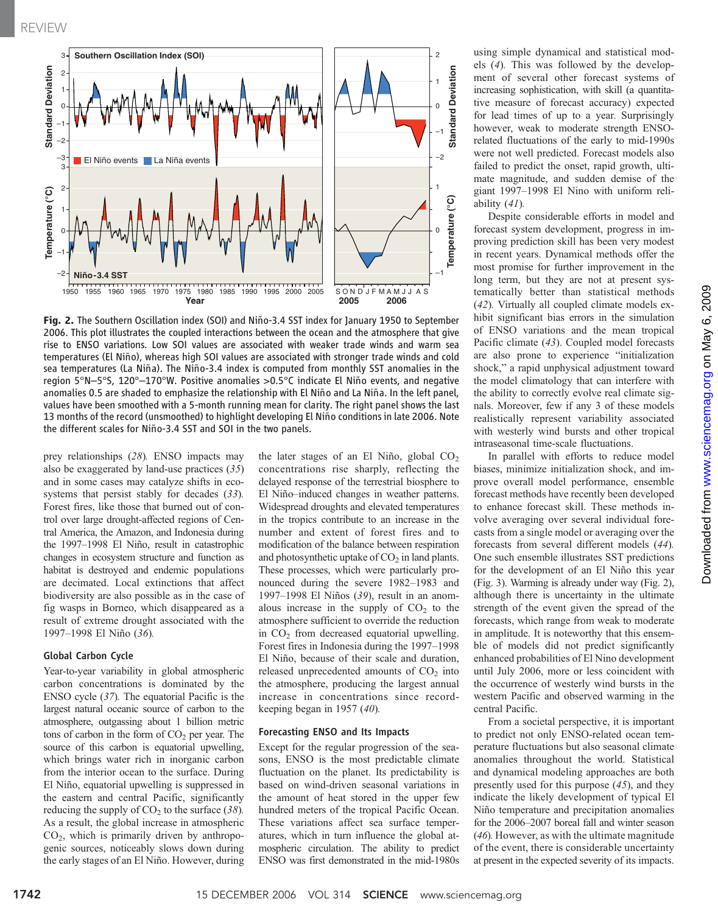

Fig. 2. The Southern Oscillation index (SOI) and Niño-3.4 SST index for January 1950 to September 2006. This plot illustrates the coupled interactions between the ocean and the atmosphere that give rise to ENSO variations. Low SOI values are associated with weaker trade winds and warm sea temperatures (El Niño), whereas high SOI values are associated with stronger trade winds and cold sea temperatures (La Niña). The Niño-3.4 index is computed from monthly SST anomalies in the region 5°N–5°S, 120°–170°W. Positive anomalies >0.5°C indicate El Niño events, and negative anomalies 0.5 are shaded to emphasize the relationship with El Niño and La Niña. In the left panel, values have been smoothed with a 5-month running mean for clarity. The right panel shows the last 13 months of the record (unsmoothed) to highlight developing El Niño conditions in late 2006. Note the different scales for Niño-3.4 SST and SOI in the two panels.

prey relationships (28). ENSO impacts may also be exaggerated by land-use practices (35) and in some cases may catalyze shifts in ecosystems that persist stably for decades (33). Forest fires, like those that burned out of control over large drought-affected regions of Central America, the Amazon, and Indonesia during the 1997–1998 El Niño, result in catastrophic changes in ecosystem structure and function as habitat is destroyed and endemic populations are decimated. Local extinctions that affect biodiversity are also possible as in the case of fig wasps in Borneo, which disappeared as a result of extreme drought associated with the 1997–1998 El Niño (36).

#### Global Carbon Cycle

Year-to-year variability in global atmospheric carbon concentrations is dominated by the ENSO cycle (37). The equatorial Pacific is the largest natural oceanic source of carbon to the atmosphere, outgassing about 1 billion metric tons of carbon in the form of  $CO<sub>2</sub>$  per year. The source of this carbon is equatorial upwelling, which brings water rich in inorganic carbon from the interior ocean to the surface. During El Niño, equatorial upwelling is suppressed in the eastern and central Pacific, significantly reducing the supply of  $CO<sub>2</sub>$  to the surface (38). As a result, the global increase in atmospheric  $CO<sub>2</sub>$ , which is primarily driven by anthropogenic sources, noticeably slows down during the early stages of an El Niño. However, during the later stages of an El Niño, global  $CO<sub>2</sub>$ concentrations rise sharply, reflecting the delayed response of the terrestrial biosphere to El Niño–induced changes in weather patterns. Widespread droughts and elevated temperatures in the tropics contribute to an increase in the number and extent of forest fires and to modification of the balance between respiration and photosynthetic uptake of  $CO<sub>2</sub>$  in land plants. These processes, which were particularly pronounced during the severe 1982–1983 and 1997–1998 El Niños (39), result in an anomalous increase in the supply of  $CO<sub>2</sub>$  to the atmosphere sufficient to override the reduction in  $CO<sub>2</sub>$  from decreased equatorial upwelling. Forest fires in Indonesia during the 1997–1998 El Niño, because of their scale and duration, released unprecedented amounts of  $CO<sub>2</sub>$  into the atmosphere, producing the largest annual increase in concentrations since recordkeeping began in 1957 (40).

#### Forecasting ENSO and Its Impacts

Except for the regular progression of the seasons, ENSO is the most predictable climate fluctuation on the planet. Its predictability is based on wind-driven seasonal variations in the amount of heat stored in the upper few hundred meters of the tropical Pacific Ocean. These variations affect sea surface temperatures, which in turn influence the global atmospheric circulation. The ability to predict ENSO was first demonstrated in the mid-1980s

using simple dynamical and statistical models (4). This was followed by the development of several other forecast systems of increasing sophistication, with skill (a quantitative measure of forecast accuracy) expected for lead times of up to a year. Surprisingly however, weak to moderate strength ENSOrelated fluctuations of the early to mid-1990s were not well predicted. Forecast models also failed to predict the onset, rapid growth, ultimate magnitude, and sudden demise of the giant 1997–1998 El Nino with uniform reliability (41).

Despite considerable efforts in model and forecast system development, progress in improving prediction skill has been very modest in recent years. Dynamical methods offer the most promise for further improvement in the long term, but they are not at present systematically better than statistical methods (42). Virtually all coupled climate models exhibit significant bias errors in the simulation of ENSO variations and the mean tropical Pacific climate (43). Coupled model forecasts are also prone to experience "initialization shock," a rapid unphysical adjustment toward the model climatology that can interfere with the ability to correctly evolve real climate signals. Moreover, few if any 3 of these models realistically represent variability associated with westerly wind bursts and other tropical intraseasonal time-scale fluctuations.

In parallel with efforts to reduce model biases, minimize initialization shock, and improve overall model performance, ensemble forecast methods have recently been developed to enhance forecast skill. These methods involve averaging over several individual forecasts from a single model or averaging over the forecasts from several different models (44). One such ensemble illustrates SST predictions for the development of an El Niño this year (Fig. 3). Warming is already under way (Fig. 2), although there is uncertainty in the ultimate strength of the event given the spread of the forecasts, which range from weak to moderate in amplitude. It is noteworthy that this ensemble of models did not predict significantly enhanced probabilities of El Nino development until July 2006, more or less coincident with the occurrence of westerly wind bursts in the western Pacific and observed warming in the central Pacific.

From a societal perspective, it is important to predict not only ENSO-related ocean temperature fluctuations but also seasonal climate anomalies throughout the world. Statistical and dynamical modeling approaches are both presently used for this purpose (45), and they indicate the likely development of typical El Niño temperature and precipitation anomalies for the 2006–2007 boreal fall and winter season (46). However, as with the ultimate magnitude of the event, there is considerable uncertainty at present in the expected severity of its impacts.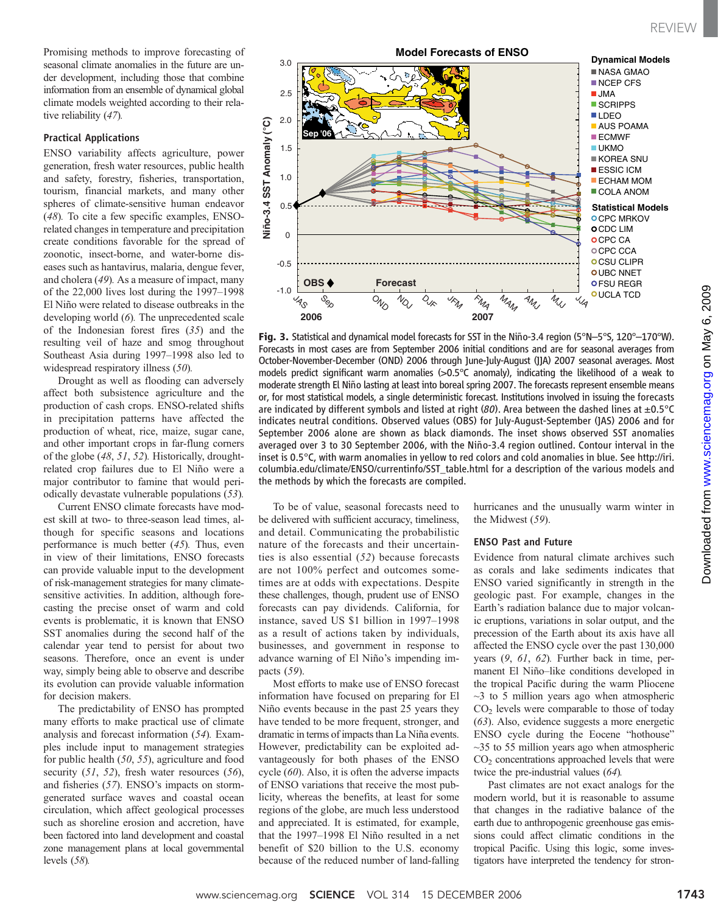Promising methods to improve forecasting of seasonal climate anomalies in the future are under development, including those that combine information from an ensemble of dynamical global climate models weighted according to their relative reliability (47).

#### Practical Applications

ENSO variability affects agriculture, power generation, fresh water resources, public health and safety, forestry, fisheries, transportation, tourism, financial markets, and many other spheres of climate-sensitive human endeavor (48). To cite a few specific examples, ENSOrelated changes in temperature and precipitation create conditions favorable for the spread of zoonotic, insect-borne, and water-borne diseases such as hantavirus, malaria, dengue fever, and cholera (49). As a measure of impact, many of the 22,000 lives lost during the 1997–1998 El Niño were related to disease outbreaks in the developing world (6). The unprecedented scale of the Indonesian forest fires (35) and the resulting veil of haze and smog throughout Southeast Asia during 1997–1998 also led to widespread respiratory illness (50).

Drought as well as flooding can adversely affect both subsistence agriculture and the production of cash crops. ENSO-related shifts in precipitation patterns have affected the production of wheat, rice, maize, sugar cane, and other important crops in far-flung corners of the globe (48, 51, 52). Historically, droughtrelated crop failures due to El Niño were a major contributor to famine that would periodically devastate vulnerable populations (53).

Current ENSO climate forecasts have modest skill at two- to three-season lead times, although for specific seasons and locations performance is much better  $(45)$ . Thus, even in view of their limitations, ENSO forecasts can provide valuable input to the development of risk-management strategies for many climatesensitive activities. In addition, although forecasting the precise onset of warm and cold events is problematic, it is known that ENSO SST anomalies during the second half of the calendar year tend to persist for about two seasons. Therefore, once an event is under way, simply being able to observe and describe its evolution can provide valuable information for decision makers.

The predictability of ENSO has prompted many efforts to make practical use of climate analysis and forecast information (54). Examples include input to management strategies for public health (50, 55), agriculture and food security (51, 52), fresh water resources (56), and fisheries (57). ENSO's impacts on stormgenerated surface waves and coastal ocean circulation, which affect geological processes such as shoreline erosion and accretion, have been factored into land development and coastal zone management plans at local governmental levels (58).



Fig. 3. Statistical and dynamical model forecasts for SST in the Niño-3.4 region (5°N–5°S, 120°–170°W). Forecasts in most cases are from September 2006 initial conditions and are for seasonal averages from October-November-December (OND) 2006 through June-July-August (JJA) 2007 seasonal averages. Most models predict significant warm anomalies (>0.5°C anomaly), indicating the likelihood of a weak to moderate strength El Niño lasting at least into boreal spring 2007. The forecasts represent ensemble means or, for most statistical models, a single deterministic forecast. Institutions involved in issuing the forecasts are indicated by different symbols and listed at right (80). Area between the dashed lines at  $\pm 0.5^{\circ}$ C indicates neutral conditions. Observed values (OBS) for July-August-September (JAS) 2006 and for September 2006 alone are shown as black diamonds. The inset shows observed SST anomalies averaged over 3 to 30 September 2006, with the Niño-3.4 region outlined. Contour interval in the inset is 0.5°C, with warm anomalies in yellow to red colors and cold anomalies in blue. See http://iri. columbia.edu/climate/ENSO/currentinfo/SST\_table.html for a description of the various models and the methods by which the forecasts are compiled.

To be of value, seasonal forecasts need to be delivered with sufficient accuracy, timeliness, and detail. Communicating the probabilistic nature of the forecasts and their uncertainties is also essential (52) because forecasts are not 100% perfect and outcomes sometimes are at odds with expectations. Despite these challenges, though, prudent use of ENSO forecasts can pay dividends. California, for instance, saved US \$1 billion in 1997–1998 as a result of actions taken by individuals, businesses, and government in response to advance warning of El Niño's impending impacts (59).

Most efforts to make use of ENSO forecast information have focused on preparing for El Niño events because in the past 25 years they have tended to be more frequent, stronger, and dramatic in terms of impacts than La Niña events. However, predictability can be exploited advantageously for both phases of the ENSO cycle (60). Also, it is often the adverse impacts of ENSO variations that receive the most publicity, whereas the benefits, at least for some regions of the globe, are much less understood and appreciated. It is estimated, for example, that the 1997–1998 El Niño resulted in a net benefit of \$20 billion to the U.S. economy because of the reduced number of land-falling

hurricanes and the unusually warm winter in the Midwest (59).

#### ENSO Past and Future

Evidence from natural climate archives such as corals and lake sediments indicates that ENSO varied significantly in strength in the geologic past. For example, changes in the Earth's radiation balance due to major volcanic eruptions, variations in solar output, and the precession of the Earth about its axis have all affected the ENSO cycle over the past 130,000 years (9, 61, 62). Further back in time, permanent El Niño–like conditions developed in the tropical Pacific during the warm Pliocene  $~\sim$ 3 to 5 million years ago when atmospheric  $CO<sub>2</sub>$  levels were comparable to those of today (63). Also, evidence suggests a more energetic ENSO cycle during the Eocene "hothouse"  $\sim$ 35 to 55 million years ago when atmospheric CO2 concentrations approached levels that were twice the pre-industrial values (64).

Past climates are not exact analogs for the modern world, but it is reasonable to assume that changes in the radiative balance of the earth due to anthropogenic greenhouse gas emissions could affect climatic conditions in the tropical Pacific. Using this logic, some investigators have interpreted the tendency for stron-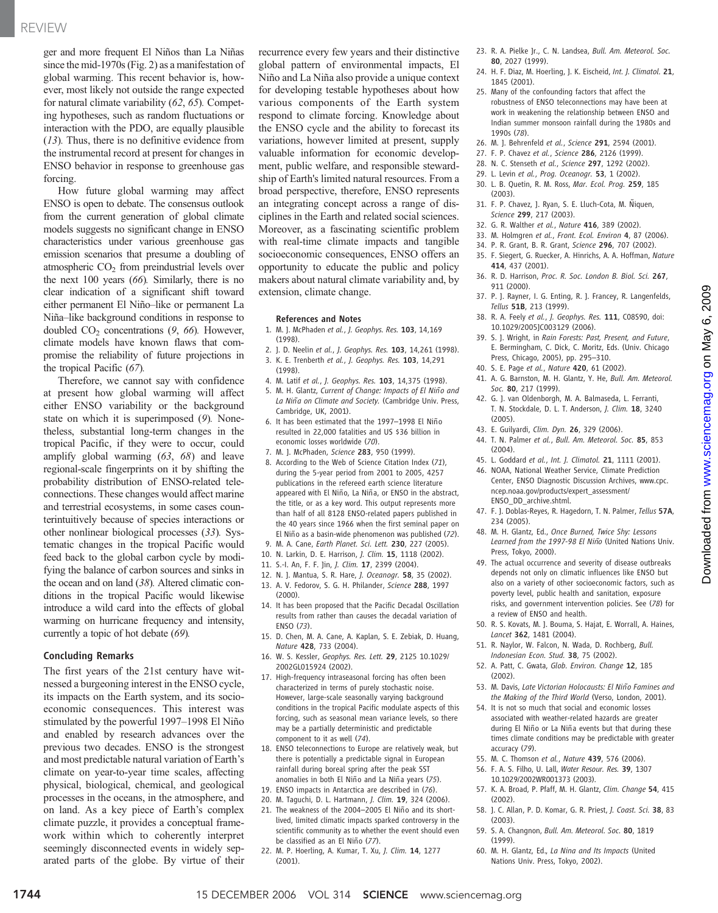### REVIEW

ger and more frequent El Niños than La Niñas since the mid-1970s (Fig. 2) as a manifestation of global warming. This recent behavior is, however, most likely not outside the range expected for natural climate variability (62, 65). Competing hypotheses, such as random fluctuations or interaction with the PDO, are equally plausible (13). Thus, there is no definitive evidence from the instrumental record at present for changes in ENSO behavior in response to greenhouse gas forcing.

How future global warming may affect ENSO is open to debate. The consensus outlook from the current generation of global climate models suggests no significant change in ENSO characteristics under various greenhouse gas emission scenarios that presume a doubling of atmospheric  $CO<sub>2</sub>$  from preindustrial levels over the next 100 years (66). Similarly, there is no clear indication of a significant shift toward either permanent El Niño–like or permanent La Niña–like background conditions in response to doubled  $CO<sub>2</sub>$  concentrations (9, 66). However, climate models have known flaws that compromise the reliability of future projections in the tropical Pacific (67).

Therefore, we cannot say with confidence at present how global warming will affect either ENSO variability or the background state on which it is superimposed (9). Nonetheless, substantial long-term changes in the tropical Pacific, if they were to occur, could amplify global warming (63, 68) and leave regional-scale fingerprints on it by shifting the probability distribution of ENSO-related teleconnections. These changes would affect marine and terrestrial ecosystems, in some cases counterintuitively because of species interactions or other nonlinear biological processes (33). Systematic changes in the tropical Pacific would feed back to the global carbon cycle by modifying the balance of carbon sources and sinks in the ocean and on land (38). Altered climatic conditions in the tropical Pacific would likewise introduce a wild card into the effects of global warming on hurricane frequency and intensity, currently a topic of hot debate (69).

#### Concluding Remarks

The first years of the 21st century have witnessed a burgeoning interest in the ENSO cycle, its impacts on the Earth system, and its socioeconomic consequences. This interest was stimulated by the powerful 1997–1998 El Niño and enabled by research advances over the previous two decades. ENSO is the strongest and most predictable natural variation of Earth's climate on year-to-year time scales, affecting physical, biological, chemical, and geological processes in the oceans, in the atmosphere, and on land. As a key piece of Earth's complex climate puzzle, it provides a conceptual framework within which to coherently interpret seemingly disconnected events in widely separated parts of the globe. By virtue of their

recurrence every few years and their distinctive global pattern of environmental impacts, El Niño and La Niña also provide a unique context for developing testable hypotheses about how various components of the Earth system respond to climate forcing. Knowledge about the ENSO cycle and the ability to forecast its variations, however limited at present, supply valuable information for economic development, public welfare, and responsible stewardship of Earth's limited natural resources. From a broad perspective, therefore, ENSO represents an integrating concept across a range of disciplines in the Earth and related social sciences. Moreover, as a fascinating scientific problem with real-time climate impacts and tangible socioeconomic consequences, ENSO offers an opportunity to educate the public and policy makers about natural climate variability and, by extension, climate change.

#### References and Notes

- 1. M. J. McPhaden et al., J. Geophys. Res. 103, 14,169 (1998).
- 2. J. D. Neelin et al., J. Geophys. Res. 103, 14,261 (1998).
- 3. K. E. Trenberth et al., J. Geophys. Res. 103, 14,291 (1998).
- 4. M. Latif et al., J. Geophys. Res. 103, 14,375 (1998).
- 5. M. H. Glantz, Current of Change: Impacts of El Niño and La Niña on Climate and Society. (Cambridge Univ. Press, Cambridge, UK, 2001).
- 6. It has been estimated that the 1997–1998 El Niño resulted in 22,000 fatalities and US \$36 billion in economic losses worldwide (70).
- 7. M. J. McPhaden, Science 283, 950 (1999).
- 8. According to the Web of Science Citation Index (71), during the 5-year period from 2001 to 2005, 4257 publications in the refereed earth science literature appeared with El Niño, La Niña, or ENSO in the abstract, the title, or as a key word. This output represents more than half of all 8128 ENSO-related papers published in the 40 years since 1966 when the first seminal paper on El Niño as a basin-wide phenomenon was published (72).
- 9. M. A. Cane, Earth Planet. Sci. Lett. 230, 227 (2005).
- 10. N. Larkin, D. E. Harrison, J. Clim. 15, 1118 (2002).
- 11. S.-I. An, F. F. Jin, J. Clim. 17, 2399 (2004).
- 12. N. J. Mantua, S. R. Hare, J. Oceanogr. 58, 35 (2002).
- 13. A. V. Fedorov, S. G. H. Philander, Science 288, 1997 (2000).
- 14. It has been proposed that the Pacific Decadal Oscillation results from rather than causes the decadal variation of ENSO (73).
- 15. D. Chen, M. A. Cane, A. Kaplan, S. E. Zebiak, D. Huang, Nature 428, 733 (2004).
- 16. W. S. Kessler, Geophys. Res. Lett. 29, 2125 10.1029/ 2002GL015924 (2002).
- 17. High-frequency intraseasonal forcing has often been characterized in terms of purely stochastic noise. However, large-scale seasonally varying background conditions in the tropical Pacific modulate aspects of this forcing, such as seasonal mean variance levels, so there may be a partially deterministic and predictable component to it as well (74).
- 18. ENSO teleconnections to Europe are relatively weak, but there is potentially a predictable signal in European rainfall during boreal spring after the peak SST anomalies in both El Niño and La Niña years (75).
- 19. ENSO impacts in Antarctica are described in (76).
- 20. M. Taguchi, D. L. Hartmann, J. Clim. 19, 324 (2006).
- 21. The weakness of the 2004–2005 El Niño and its shortlived, limited climatic impacts sparked controversy in the scientific community as to whether the event should even be classified as an El Niño (77).
- 22. M. P. Hoerling, A. Kumar, T. Xu, J. Clim. 14, 1277 (2001).
- 23. R. A. Pielke Jr., C. N. Landsea, Bull. Am. Meteorol. Soc. 80, 2027 (1999).
- 24. H. F. Diaz, M. Hoerling, J. K. Eischeid, Int. J. Climatol. 21, 1845 (2001).
- 25. Many of the confounding factors that affect the robustness of ENSO teleconnections may have been at work in weakening the relationship between ENSO and Indian summer monsoon rainfall during the 1980s and 1990s (78).
- 26. M. J. Behrenfeld et al., Science 291, 2594 (2001).
- 27. F. P. Chavez et al., Science 286, 2126 (1999).
- 28. N. C. Stenseth et al., Science 297, 1292 (2002).
- 29. L. Levin et al., Prog. Oceanogr. 53, 1 (2002).
- 30. L. B. Quetin, R. M. Ross, Mar. Ecol. Prog. 259, 185 (2003).
- 31. F. P. Chavez, J. Ryan, S. E. Lluch-Cota, M. Ñiquen, Science 299, 217 (2003).
- 32. G. R. Walther et al., Nature 416, 389 (2002).
- 33. M. Holmgren et al., Front. Ecol. Environ 4, 87 (2006).
- 34. P. R. Grant, B. R. Grant, Science 296, 707 (2002).
- 35. F. Siegert, G. Ruecker, A. Hinrichs, A. A. Hoffman, Nature 414, 437 (2001).
- 36. R. D. Harrison, Proc. R. Soc. London B. Biol. Sci. 267, 911 (2000).
- 37. P. J. Rayner, I. G. Enting, R. J. Francey, R. Langenfelds, Tellus 51B, 213 (1999).
- 38. R. A. Feely et al., J. Geophys. Res. 111, C08S90, doi: 10.1029/2005JC003129 (2006).
- 39. S. J. Wright, in Rain Forests: Past, Present, and Future, E. Bermingham, C. Dick, C. Moritz, Eds. (Univ. Chicago Press, Chicago, 2005), pp. 295–310.
- 40. S. E. Page et al., Nature 420, 61 (2002).
- 41. A. G. Barnston, M. H. Glantz, Y. He, Bull. Am. Meteorol. Soc. 80, 217 (1999).
- 42. G. J. van Oldenborgh, M. A. Balmaseda, L. Ferranti, T. N. Stockdale, D. L. T. Anderson, J. Clim. 18, 3240 (2005).
- 43. E. Guilyardi, Clim. Dyn. 26, 329 (2006).
- 44. T. N. Palmer et al., Bull. Am. Meteorol. Soc. 85, 853 (2004).
- 45. L. Goddard et al., Int. J. Climatol. 21, 1111 (2001).
- 46. NOAA, National Weather Service, Climate Prediction Center, ENSO Diagnostic Discussion Archives, www.cpc. ncep.noaa.gov/products/expert\_assessment/ ENSO\_DD\_archive.shtml.
- 47. F. J. Doblas-Reyes, R. Hagedorn, T. N. Palmer, Tellus 57A, 234 (2005).
- 48. M. H. Glantz, Ed., Once Burned, Twice Shy: Lessons Learned from the 1997-98 El Niño (United Nations Univ. Press, Tokyo, 2000).
- 49. The actual occurrence and severity of disease outbreaks depends not only on climatic influences like ENSO but also on a variety of other socioeconomic factors, such as poverty level, public health and sanitation, exposure risks, and government intervention policies. See (78) for a review of ENSO and health.
- 50. R. S. Kovats, M. J. Bouma, S. Hajat, E. Worrall, A. Haines, Lancet 362, 1481 (2004).
- 51. R. Naylor, W. Falcon, N. Wada, D. Rochberg, Bull. Indonesian Econ. Stud. 38, 75 (2002).
- 52. A. Patt, C. Gwata, Glob. Environ. Change 12, 185 (2002).
- 53. M. Davis, Late Victorian Holocausts: El Niño Famines and the Making of the Third World (Verso, London, 2001).
- 54. It is not so much that social and economic losses associated with weather-related hazards are greater during El Niño or La Niña events but that during these times climate conditions may be predictable with greater accuracy (79).
- 55. M. C. Thomson et al., Nature 439, 576 (2006).
- 56. F. A. S. Filho, U. Lall, Water Resour. Res. 39, 1307 10.1029/2002WR001373 (2003).
- 57. K. A. Broad, P. Pfaff, M. H. Glantz, Clim. Change 54, 415 (2002).
- 58. J. C. Allan, P. D. Komar, G. R. Priest, J. Coast. Sci. 38, 83 (2003).
- 59. S. A. Changnon, Bull. Am. Meteorol. Soc. 80, 1819 (1999).
- 60. M. H. Glantz, Ed., La Nina and Its Impacts (United Nations Univ. Press, Tokyo, 2002).